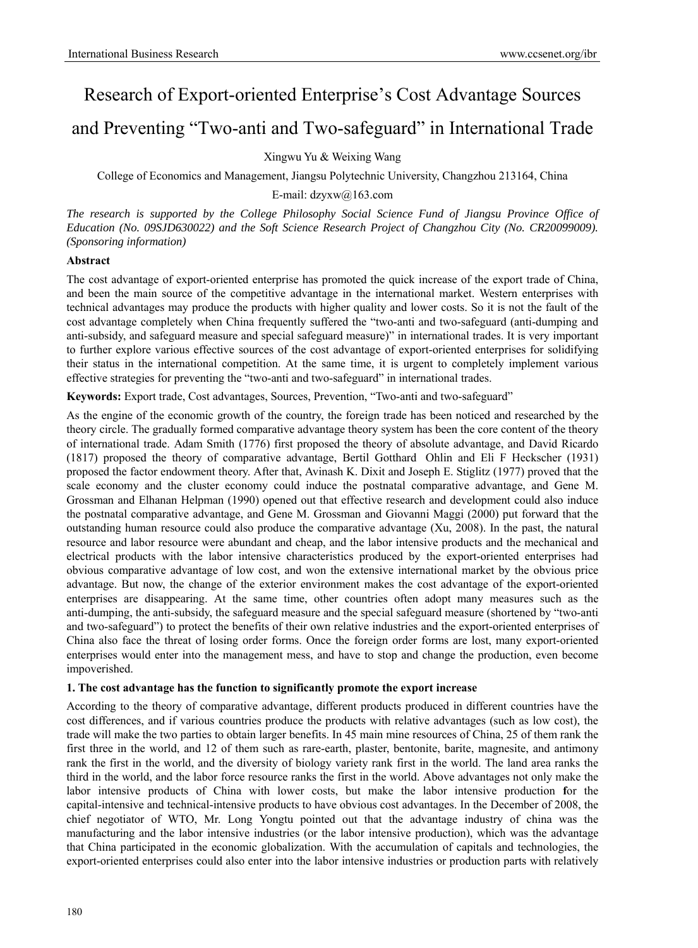# Research of Export-oriented Enterprise's Cost Advantage Sources

# and Preventing "Two-anti and Two-safeguard" in International Trade

Xingwu Yu & Weixing Wang

College of Economics and Management, Jiangsu Polytechnic University, Changzhou 213164, China

E-mail: dzyxw@163.com

*The research is supported by the College Philosophy Social Science Fund of Jiangsu Province Office of Education (No. 09SJD630022) and the Soft Science Research Project of Changzhou City (No. CR20099009). (Sponsoring information)* 

## **Abstract**

The cost advantage of export-oriented enterprise has promoted the quick increase of the export trade of China, and been the main source of the competitive advantage in the international market. Western enterprises with technical advantages may produce the products with higher quality and lower costs. So it is not the fault of the cost advantage completely when China frequently suffered the "two-anti and two-safeguard (anti-dumping and anti-subsidy, and safeguard measure and special safeguard measure)" in international trades. It is very important to further explore various effective sources of the cost advantage of export-oriented enterprises for solidifying their status in the international competition. At the same time, it is urgent to completely implement various effective strategies for preventing the "two-anti and two-safeguard" in international trades.

**Keywords:** Export trade, Cost advantages, Sources, Prevention, "Two-anti and two-safeguard"

As the engine of the economic growth of the country, the foreign trade has been noticed and researched by the theory circle. The gradually formed comparative advantage theory system has been the core content of the theory of international trade. Adam Smith (1776) first proposed the theory of absolute advantage, and David Ricardo (1817) proposed the theory of comparative advantage, Bertil Gotthard Ohlin and Eli F Heckscher (1931) proposed the factor endowment theory. After that, Avinash K. Dixit and Joseph E. Stiglitz (1977) proved that the scale economy and the cluster economy could induce the postnatal comparative advantage, and Gene M. Grossman and Elhanan Helpman (1990) opened out that effective research and development could also induce the postnatal comparative advantage, and Gene M. Grossman and Giovanni Maggi (2000) put forward that the outstanding human resource could also produce the comparative advantage (Xu, 2008). In the past, the natural resource and labor resource were abundant and cheap, and the labor intensive products and the mechanical and electrical products with the labor intensive characteristics produced by the export-oriented enterprises had obvious comparative advantage of low cost, and won the extensive international market by the obvious price advantage. But now, the change of the exterior environment makes the cost advantage of the export-oriented enterprises are disappearing. At the same time, other countries often adopt many measures such as the anti-dumping, the anti-subsidy, the safeguard measure and the special safeguard measure (shortened by "two-anti and two-safeguard") to protect the benefits of their own relative industries and the export-oriented enterprises of China also face the threat of losing order forms. Once the foreign order forms are lost, many export-oriented enterprises would enter into the management mess, and have to stop and change the production, even become impoverished.

#### **1. The cost advantage has the function to significantly promote the export increase**

According to the theory of comparative advantage, different products produced in different countries have the cost differences, and if various countries produce the products with relative advantages (such as low cost), the trade will make the two parties to obtain larger benefits. In 45 main mine resources of China, 25 of them rank the first three in the world, and 12 of them such as rare-earth, plaster, bentonite, barite, magnesite, and antimony rank the first in the world, and the diversity of biology variety rank first in the world. The land area ranks the third in the world, and the labor force resource ranks the first in the world. Above advantages not only make the labor intensive products of China with lower costs, but make the labor intensive production **f**or the capital-intensive and technical-intensive products to have obvious cost advantages. In the December of 2008, the chief negotiator of WTO, Mr. Long Yongtu pointed out that the advantage industry of china was the manufacturing and the labor intensive industries (or the labor intensive production), which was the advantage that China participated in the economic globalization. With the accumulation of capitals and technologies, the export-oriented enterprises could also enter into the labor intensive industries or production parts with relatively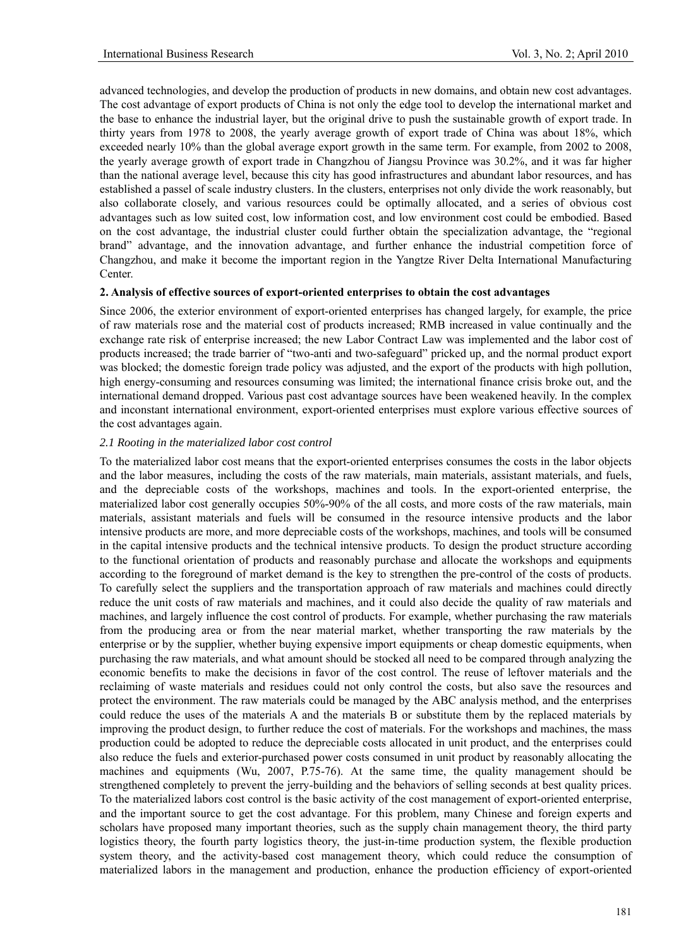advanced technologies, and develop the production of products in new domains, and obtain new cost advantages. The cost advantage of export products of China is not only the edge tool to develop the international market and the base to enhance the industrial layer, but the original drive to push the sustainable growth of export trade. In thirty years from 1978 to 2008, the yearly average growth of export trade of China was about 18%, which exceeded nearly 10% than the global average export growth in the same term. For example, from 2002 to 2008, the yearly average growth of export trade in Changzhou of Jiangsu Province was 30.2%, and it was far higher than the national average level, because this city has good infrastructures and abundant labor resources, and has established a passel of scale industry clusters. In the clusters, enterprises not only divide the work reasonably, but also collaborate closely, and various resources could be optimally allocated, and a series of obvious cost advantages such as low suited cost, low information cost, and low environment cost could be embodied. Based on the cost advantage, the industrial cluster could further obtain the specialization advantage, the "regional brand" advantage, and the innovation advantage, and further enhance the industrial competition force of Changzhou, and make it become the important region in the Yangtze River Delta International Manufacturing Center.

#### **2. Analysis of effective sources of export-oriented enterprises to obtain the cost advantages**

Since 2006, the exterior environment of export-oriented enterprises has changed largely, for example, the price of raw materials rose and the material cost of products increased; RMB increased in value continually and the exchange rate risk of enterprise increased; the new Labor Contract Law was implemented and the labor cost of products increased; the trade barrier of "two-anti and two-safeguard" pricked up, and the normal product export was blocked; the domestic foreign trade policy was adjusted, and the export of the products with high pollution, high energy-consuming and resources consuming was limited; the international finance crisis broke out, and the international demand dropped. Various past cost advantage sources have been weakened heavily. In the complex and inconstant international environment, export-oriented enterprises must explore various effective sources of the cost advantages again.

#### *2.1 Rooting in the materialized labor cost control*

To the materialized labor cost means that the export-oriented enterprises consumes the costs in the labor objects and the labor measures, including the costs of the raw materials, main materials, assistant materials, and fuels, and the depreciable costs of the workshops, machines and tools. In the export-oriented enterprise, the materialized labor cost generally occupies 50%-90% of the all costs, and more costs of the raw materials, main materials, assistant materials and fuels will be consumed in the resource intensive products and the labor intensive products are more, and more depreciable costs of the workshops, machines, and tools will be consumed in the capital intensive products and the technical intensive products. To design the product structure according to the functional orientation of products and reasonably purchase and allocate the workshops and equipments according to the foreground of market demand is the key to strengthen the pre-control of the costs of products. To carefully select the suppliers and the transportation approach of raw materials and machines could directly reduce the unit costs of raw materials and machines, and it could also decide the quality of raw materials and machines, and largely influence the cost control of products. For example, whether purchasing the raw materials from the producing area or from the near material market, whether transporting the raw materials by the enterprise or by the supplier, whether buying expensive import equipments or cheap domestic equipments, when purchasing the raw materials, and what amount should be stocked all need to be compared through analyzing the economic benefits to make the decisions in favor of the cost control. The reuse of leftover materials and the reclaiming of waste materials and residues could not only control the costs, but also save the resources and protect the environment. The raw materials could be managed by the ABC analysis method, and the enterprises could reduce the uses of the materials A and the materials B or substitute them by the replaced materials by improving the product design, to further reduce the cost of materials. For the workshops and machines, the mass production could be adopted to reduce the depreciable costs allocated in unit product, and the enterprises could also reduce the fuels and exterior-purchased power costs consumed in unit product by reasonably allocating the machines and equipments (Wu, 2007, P.75-76). At the same time, the quality management should be strengthened completely to prevent the jerry-building and the behaviors of selling seconds at best quality prices. To the materialized labors cost control is the basic activity of the cost management of export-oriented enterprise, and the important source to get the cost advantage. For this problem, many Chinese and foreign experts and scholars have proposed many important theories, such as the supply chain management theory, the third party logistics theory, the fourth party logistics theory, the just-in-time production system, the flexible production system theory, and the activity-based cost management theory, which could reduce the consumption of materialized labors in the management and production, enhance the production efficiency of export-oriented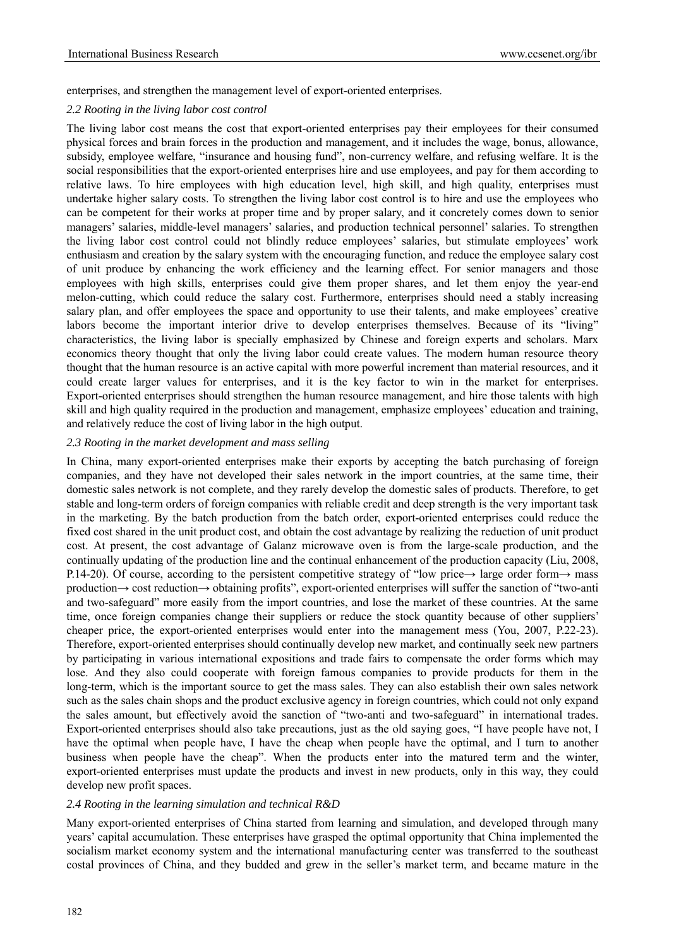enterprises, and strengthen the management level of export-oriented enterprises.

#### *2.2 Rooting in the living labor cost control*

The living labor cost means the cost that export-oriented enterprises pay their employees for their consumed physical forces and brain forces in the production and management, and it includes the wage, bonus, allowance, subsidy, employee welfare, "insurance and housing fund", non-currency welfare, and refusing welfare. It is the social responsibilities that the export-oriented enterprises hire and use employees, and pay for them according to relative laws. To hire employees with high education level, high skill, and high quality, enterprises must undertake higher salary costs. To strengthen the living labor cost control is to hire and use the employees who can be competent for their works at proper time and by proper salary, and it concretely comes down to senior managers' salaries, middle-level managers' salaries, and production technical personnel' salaries. To strengthen the living labor cost control could not blindly reduce employees' salaries, but stimulate employees' work enthusiasm and creation by the salary system with the encouraging function, and reduce the employee salary cost of unit produce by enhancing the work efficiency and the learning effect. For senior managers and those employees with high skills, enterprises could give them proper shares, and let them enjoy the year-end melon-cutting, which could reduce the salary cost. Furthermore, enterprises should need a stably increasing salary plan, and offer employees the space and opportunity to use their talents, and make employees' creative labors become the important interior drive to develop enterprises themselves. Because of its "living" characteristics, the living labor is specially emphasized by Chinese and foreign experts and scholars. Marx economics theory thought that only the living labor could create values. The modern human resource theory thought that the human resource is an active capital with more powerful increment than material resources, and it could create larger values for enterprises, and it is the key factor to win in the market for enterprises. Export-oriented enterprises should strengthen the human resource management, and hire those talents with high skill and high quality required in the production and management, emphasize employees' education and training, and relatively reduce the cost of living labor in the high output.

#### *2.3 Rooting in the market development and mass selling*

In China, many export-oriented enterprises make their exports by accepting the batch purchasing of foreign companies, and they have not developed their sales network in the import countries, at the same time, their domestic sales network is not complete, and they rarely develop the domestic sales of products. Therefore, to get stable and long-term orders of foreign companies with reliable credit and deep strength is the very important task in the marketing. By the batch production from the batch order, export-oriented enterprises could reduce the fixed cost shared in the unit product cost, and obtain the cost advantage by realizing the reduction of unit product cost. At present, the cost advantage of Galanz microwave oven is from the large-scale production, and the continually updating of the production line and the continual enhancement of the production capacity (Liu, 2008, P.14-20). Of course, according to the persistent competitive strategy of "low price→ large order form→ mass production→ cost reduction→ obtaining profits", export-oriented enterprises will suffer the sanction of "two-anti and two-safeguard" more easily from the import countries, and lose the market of these countries. At the same time, once foreign companies change their suppliers or reduce the stock quantity because of other suppliers' cheaper price, the export-oriented enterprises would enter into the management mess (You, 2007, P.22-23). Therefore, export-oriented enterprises should continually develop new market, and continually seek new partners by participating in various international expositions and trade fairs to compensate the order forms which may lose. And they also could cooperate with foreign famous companies to provide products for them in the long-term, which is the important source to get the mass sales. They can also establish their own sales network such as the sales chain shops and the product exclusive agency in foreign countries, which could not only expand the sales amount, but effectively avoid the sanction of "two-anti and two-safeguard" in international trades. Export-oriented enterprises should also take precautions, just as the old saying goes, "I have people have not, I have the optimal when people have, I have the cheap when people have the optimal, and I turn to another business when people have the cheap". When the products enter into the matured term and the winter, export-oriented enterprises must update the products and invest in new products, only in this way, they could develop new profit spaces.

#### *2.4 Rooting in the learning simulation and technical R&D*

Many export-oriented enterprises of China started from learning and simulation, and developed through many years' capital accumulation. These enterprises have grasped the optimal opportunity that China implemented the socialism market economy system and the international manufacturing center was transferred to the southeast costal provinces of China, and they budded and grew in the seller's market term, and became mature in the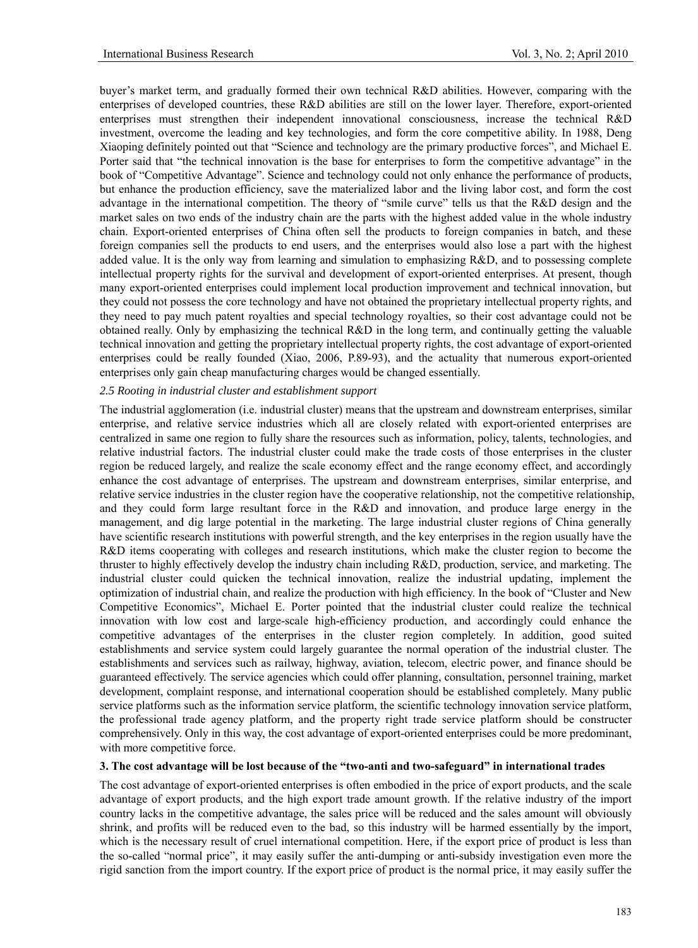buyer's market term, and gradually formed their own technical R&D abilities. However, comparing with the enterprises of developed countries, these R&D abilities are still on the lower layer. Therefore, export-oriented enterprises must strengthen their independent innovational consciousness, increase the technical R&D investment, overcome the leading and key technologies, and form the core competitive ability. In 1988, Deng Xiaoping definitely pointed out that "Science and technology are the primary productive forces", and Michael E. Porter said that "the technical innovation is the base for enterprises to form the competitive advantage" in the book of "Competitive Advantage". Science and technology could not only enhance the performance of products, but enhance the production efficiency, save the materialized labor and the living labor cost, and form the cost advantage in the international competition. The theory of "smile curve" tells us that the R&D design and the market sales on two ends of the industry chain are the parts with the highest added value in the whole industry chain. Export-oriented enterprises of China often sell the products to foreign companies in batch, and these foreign companies sell the products to end users, and the enterprises would also lose a part with the highest added value. It is the only way from learning and simulation to emphasizing R&D, and to possessing complete intellectual property rights for the survival and development of export-oriented enterprises. At present, though many export-oriented enterprises could implement local production improvement and technical innovation, but they could not possess the core technology and have not obtained the proprietary intellectual property rights, and they need to pay much patent royalties and special technology royalties, so their cost advantage could not be obtained really. Only by emphasizing the technical R&D in the long term, and continually getting the valuable technical innovation and getting the proprietary intellectual property rights, the cost advantage of export-oriented enterprises could be really founded (Xiao, 2006, P.89-93), and the actuality that numerous export-oriented enterprises only gain cheap manufacturing charges would be changed essentially.

#### *2.5 Rooting in industrial cluster and establishment support*

The industrial agglomeration (i.e. industrial cluster) means that the upstream and downstream enterprises, similar enterprise, and relative service industries which all are closely related with export-oriented enterprises are centralized in same one region to fully share the resources such as information, policy, talents, technologies, and relative industrial factors. The industrial cluster could make the trade costs of those enterprises in the cluster region be reduced largely, and realize the scale economy effect and the range economy effect, and accordingly enhance the cost advantage of enterprises. The upstream and downstream enterprises, similar enterprise, and relative service industries in the cluster region have the cooperative relationship, not the competitive relationship, and they could form large resultant force in the R&D and innovation, and produce large energy in the management, and dig large potential in the marketing. The large industrial cluster regions of China generally have scientific research institutions with powerful strength, and the key enterprises in the region usually have the R&D items cooperating with colleges and research institutions, which make the cluster region to become the thruster to highly effectively develop the industry chain including R&D, production, service, and marketing. The industrial cluster could quicken the technical innovation, realize the industrial updating, implement the optimization of industrial chain, and realize the production with high efficiency. In the book of "Cluster and New Competitive Economics", Michael E. Porter pointed that the industrial cluster could realize the technical innovation with low cost and large-scale high-efficiency production, and accordingly could enhance the competitive advantages of the enterprises in the cluster region completely. In addition, good suited establishments and service system could largely guarantee the normal operation of the industrial cluster. The establishments and services such as railway, highway, aviation, telecom, electric power, and finance should be guaranteed effectively. The service agencies which could offer planning, consultation, personnel training, market development, complaint response, and international cooperation should be established completely. Many public service platforms such as the information service platform, the scientific technology innovation service platform, the professional trade agency platform, and the property right trade service platform should be constructer comprehensively. Only in this way, the cost advantage of export-oriented enterprises could be more predominant, with more competitive force.

#### **3. The cost advantage will be lost because of the "two-anti and two-safeguard" in international trades**

The cost advantage of export-oriented enterprises is often embodied in the price of export products, and the scale advantage of export products, and the high export trade amount growth. If the relative industry of the import country lacks in the competitive advantage, the sales price will be reduced and the sales amount will obviously shrink, and profits will be reduced even to the bad, so this industry will be harmed essentially by the import, which is the necessary result of cruel international competition. Here, if the export price of product is less than the so-called "normal price", it may easily suffer the anti-dumping or anti-subsidy investigation even more the rigid sanction from the import country. If the export price of product is the normal price, it may easily suffer the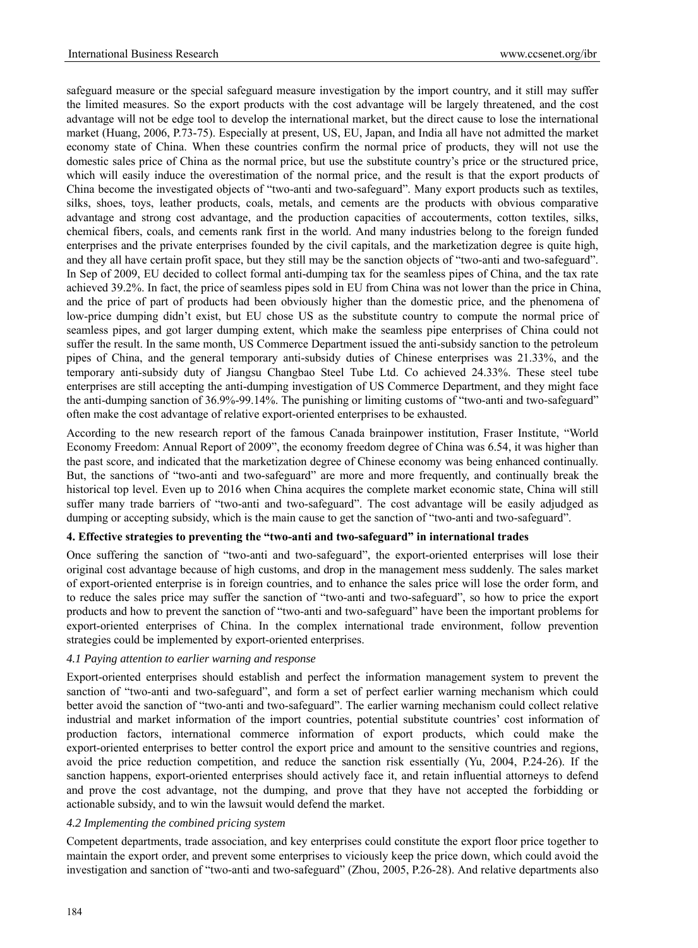safeguard measure or the special safeguard measure investigation by the import country, and it still may suffer the limited measures. So the export products with the cost advantage will be largely threatened, and the cost advantage will not be edge tool to develop the international market, but the direct cause to lose the international market (Huang, 2006, P.73-75). Especially at present, US, EU, Japan, and India all have not admitted the market economy state of China. When these countries confirm the normal price of products, they will not use the domestic sales price of China as the normal price, but use the substitute country's price or the structured price, which will easily induce the overestimation of the normal price, and the result is that the export products of China become the investigated objects of "two-anti and two-safeguard". Many export products such as textiles, silks, shoes, toys, leather products, coals, metals, and cements are the products with obvious comparative advantage and strong cost advantage, and the production capacities of accouterments, cotton textiles, silks, chemical fibers, coals, and cements rank first in the world. And many industries belong to the foreign funded enterprises and the private enterprises founded by the civil capitals, and the marketization degree is quite high, and they all have certain profit space, but they still may be the sanction objects of "two-anti and two-safeguard". In Sep of 2009, EU decided to collect formal anti-dumping tax for the seamless pipes of China, and the tax rate achieved 39.2%. In fact, the price of seamless pipes sold in EU from China was not lower than the price in China, and the price of part of products had been obviously higher than the domestic price, and the phenomena of low-price dumping didn't exist, but EU chose US as the substitute country to compute the normal price of seamless pipes, and got larger dumping extent, which make the seamless pipe enterprises of China could not suffer the result. In the same month, US Commerce Department issued the anti-subsidy sanction to the petroleum pipes of China, and the general temporary anti-subsidy duties of Chinese enterprises was 21.33%, and the temporary anti-subsidy duty of Jiangsu Changbao Steel Tube Ltd. Co achieved 24.33%. These steel tube enterprises are still accepting the anti-dumping investigation of US Commerce Department, and they might face the anti-dumping sanction of 36.9%-99.14%. The punishing or limiting customs of "two-anti and two-safeguard" often make the cost advantage of relative export-oriented enterprises to be exhausted.

According to the new research report of the famous Canada brainpower institution, Fraser Institute, "World Economy Freedom: Annual Report of 2009", the economy freedom degree of China was 6.54, it was higher than the past score, and indicated that the marketization degree of Chinese economy was being enhanced continually. But, the sanctions of "two-anti and two-safeguard" are more and more frequently, and continually break the historical top level. Even up to 2016 when China acquires the complete market economic state, China will still suffer many trade barriers of "two-anti and two-safeguard". The cost advantage will be easily adjudged as dumping or accepting subsidy, which is the main cause to get the sanction of "two-anti and two-safeguard".

#### **4. Effective strategies to preventing the "two-anti and two-safeguard" in international trades**

Once suffering the sanction of "two-anti and two-safeguard", the export-oriented enterprises will lose their original cost advantage because of high customs, and drop in the management mess suddenly. The sales market of export-oriented enterprise is in foreign countries, and to enhance the sales price will lose the order form, and to reduce the sales price may suffer the sanction of "two-anti and two-safeguard", so how to price the export products and how to prevent the sanction of "two-anti and two-safeguard" have been the important problems for export-oriented enterprises of China. In the complex international trade environment, follow prevention strategies could be implemented by export-oriented enterprises.

#### *4.1 Paying attention to earlier warning and response*

Export-oriented enterprises should establish and perfect the information management system to prevent the sanction of "two-anti and two-safeguard", and form a set of perfect earlier warning mechanism which could better avoid the sanction of "two-anti and two-safeguard". The earlier warning mechanism could collect relative industrial and market information of the import countries, potential substitute countries' cost information of production factors, international commerce information of export products, which could make the export-oriented enterprises to better control the export price and amount to the sensitive countries and regions, avoid the price reduction competition, and reduce the sanction risk essentially (Yu, 2004, P.24-26). If the sanction happens, export-oriented enterprises should actively face it, and retain influential attorneys to defend and prove the cost advantage, not the dumping, and prove that they have not accepted the forbidding or actionable subsidy, and to win the lawsuit would defend the market.

#### *4.2 Implementing the combined pricing system*

Competent departments, trade association, and key enterprises could constitute the export floor price together to maintain the export order, and prevent some enterprises to viciously keep the price down, which could avoid the investigation and sanction of "two-anti and two-safeguard" (Zhou, 2005, P.26-28). And relative departments also